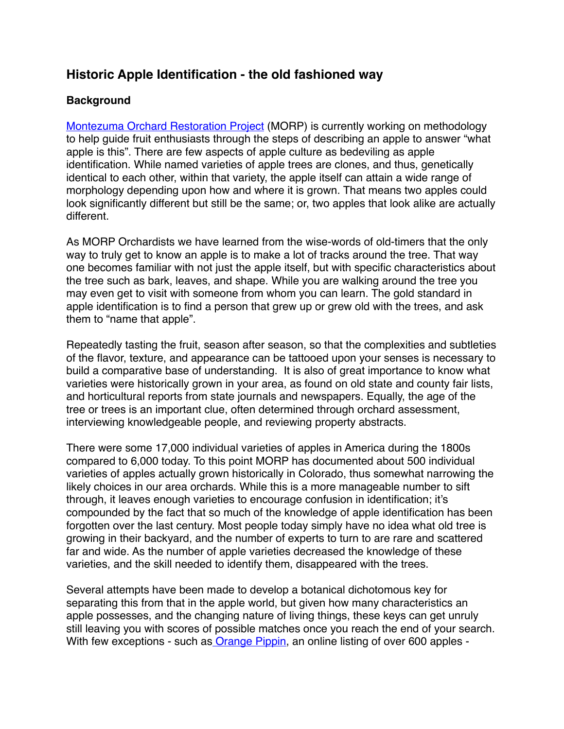# **Historic Apple Identification - the old fashioned way**

#### **Background**

[Montezuma Orchard Restoration Project](http://montezumaorchard.org) (MORP) is currently working on methodology to help guide fruit enthusiasts through the steps of describing an apple to answer "what apple is this". There are few aspects of apple culture as bedeviling as apple identification. While named varieties of apple trees are clones, and thus, genetically identical to each other, within that variety, the apple itself can attain a wide range of morphology depending upon how and where it is grown. That means two apples could look significantly different but still be the same; or, two apples that look alike are actually different.

As MORP Orchardists we have learned from the wise-words of old-timers that the only way to truly get to know an apple is to make a lot of tracks around the tree. That way one becomes familiar with not just the apple itself, but with specific characteristics about the tree such as bark, leaves, and shape. While you are walking around the tree you may even get to visit with someone from whom you can learn. The gold standard in apple identification is to find a person that grew up or grew old with the trees, and ask them to "name that apple".

Repeatedly tasting the fruit, season after season, so that the complexities and subtleties of the flavor, texture, and appearance can be tattooed upon your senses is necessary to build a comparative base of understanding. It is also of great importance to know what varieties were historically grown in your area, as found on old state and county fair lists, and horticultural reports from state journals and newspapers. Equally, the age of the tree or trees is an important clue, often determined through orchard assessment, interviewing knowledgeable people, and reviewing property abstracts.

There were some 17,000 individual varieties of apples in America during the 1800s compared to 6,000 today. To this point MORP has documented about 500 individual varieties of apples actually grown historically in Colorado, thus somewhat narrowing the likely choices in our area orchards. While this is a more manageable number to sift through, it leaves enough varieties to encourage confusion in identification; it's compounded by the fact that so much of the knowledge of apple identification has been forgotten over the last century. Most people today simply have no idea what old tree is growing in their backyard, and the number of experts to turn to are rare and scattered far and wide. As the number of apple varieties decreased the knowledge of these varieties, and the skill needed to identify them, disappeared with the trees.

Several attempts have been made to develop a botanical dichotomous key for separating this from that in the apple world, but given how many characteristics an apple possesses, and the changing nature of living things, these keys can get unruly still leaving you with scores of possible matches once you reach the end of your search. With few exceptions - such as [Orange Pippin,](http://www.orangepippin.com) an online listing of over 600 apples -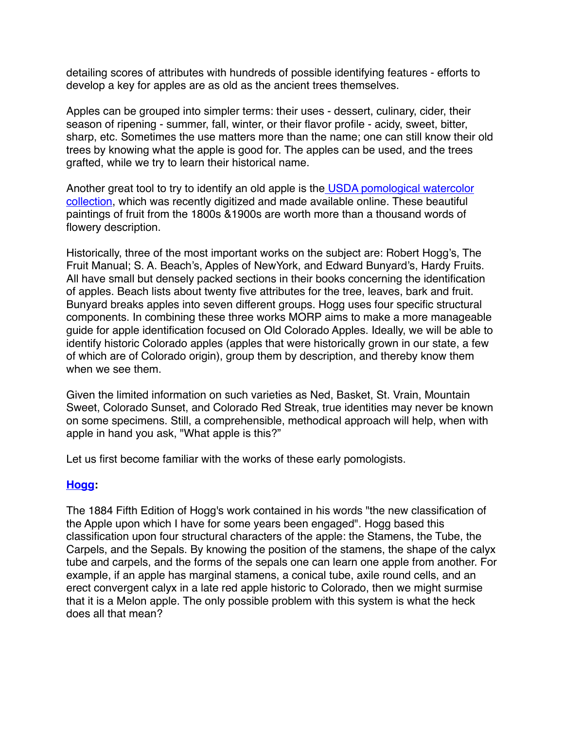detailing scores of attributes with hundreds of possible identifying features - efforts to develop a key for apples are as old as the ancient trees themselves.

Apples can be grouped into simpler terms: their uses - dessert, culinary, cider, their season of ripening - summer, fall, winter, or their flavor profile - acidy, sweet, bitter, sharp, etc. Sometimes the use matters more than the name; one can still know their old trees by knowing what the apple is good for. The apples can be used, and the trees grafted, while we try to learn their historical name.

[Another great tool to try to identify an old apple is the USDA pomological watercolor](http://usdawatercolors.nal.usda.gov/pom/home.xhtml)  collection, which was recently digitized and made available online. These beautiful paintings of fruit from the 1800s &1900s are worth more than a thousand words of flowery description.

Historically, three of the most important works on the subject are: Robert Hogg's, The Fruit Manual; S. A. Beach's, Apples of NewYork, and Edward Bunyard's, Hardy Fruits. All have small but densely packed sections in their books concerning the identification of apples. Beach lists about twenty five attributes for the tree, leaves, bark and fruit. Bunyard breaks apples into seven different groups. Hogg uses four specific structural components. In combining these three works MORP aims to make a more manageable guide for apple identification focused on Old Colorado Apples. Ideally, we will be able to identify historic Colorado apples (apples that were historically grown in our state, a few of which are of Colorado origin), group them by description, and thereby know them when we see them.

Given the limited information on such varieties as Ned, Basket, St. Vrain, Mountain Sweet, Colorado Sunset, and Colorado Red Streak, true identities may never be known on some specimens. Still, a comprehensible, methodical approach will help, when with apple in hand you ask, "What apple is this?"

Let us first become familiar with the works of these early pomologists.

## **[Hogg:](https://archive.org/details/fruitmanualguide00hoggrich)**

The 1884 Fifth Edition of Hogg's work contained in his words "the new classification of the Apple upon which I have for some years been engaged". Hogg based this classification upon four structural characters of the apple: the Stamens, the Tube, the Carpels, and the Sepals. By knowing the position of the stamens, the shape of the calyx tube and carpels, and the forms of the sepals one can learn one apple from another. For example, if an apple has marginal stamens, a conical tube, axile round cells, and an erect convergent calyx in a late red apple historic to Colorado, then we might surmise that it is a Melon apple. The only possible problem with this system is what the heck does all that mean?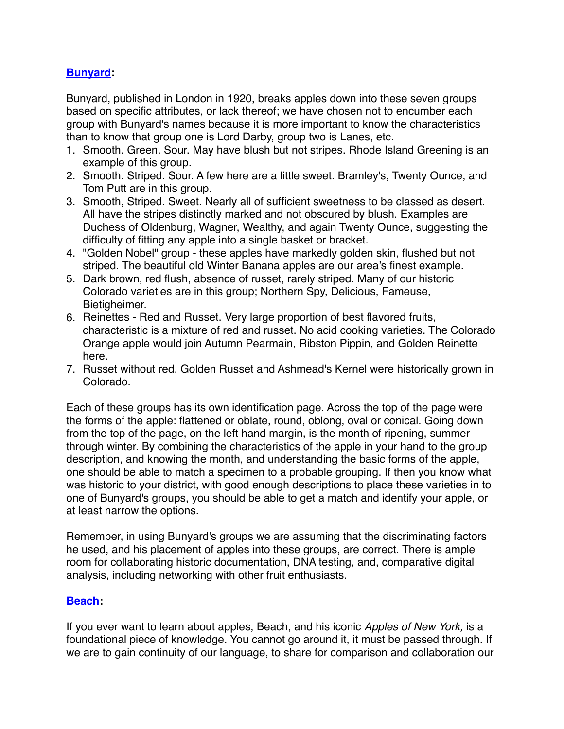## **[Bunyard:](http://www.biodiversitylibrary.org/bibliography/31413#/summary)**

Bunyard, published in London in 1920, breaks apples down into these seven groups based on specific attributes, or lack thereof; we have chosen not to encumber each group with Bunyard's names because it is more important to know the characteristics than to know that group one is Lord Darby, group two is Lanes, etc.

- 1. Smooth. Green. Sour. May have blush but not stripes. Rhode Island Greening is an example of this group.
- 2. Smooth. Striped. Sour. A few here are a little sweet. Bramley's, Twenty Ounce, and Tom Putt are in this group.
- 3. Smooth, Striped. Sweet. Nearly all of sufficient sweetness to be classed as desert. All have the stripes distinctly marked and not obscured by blush. Examples are Duchess of Oldenburg, Wagner, Wealthy, and again Twenty Ounce, suggesting the difficulty of fitting any apple into a single basket or bracket.
- 4. "Golden Nobel" group these apples have markedly golden skin, flushed but not striped. The beautiful old Winter Banana apples are our area's finest example.
- 5. Dark brown, red flush, absence of russet, rarely striped. Many of our historic Colorado varieties are in this group; Northern Spy, Delicious, Fameuse, Bietigheimer.
- 6. Reinettes Red and Russet. Very large proportion of best flavored fruits, characteristic is a mixture of red and russet. No acid cooking varieties. The Colorado Orange apple would join Autumn Pearmain, Ribston Pippin, and Golden Reinette here.
- 7. Russet without red. Golden Russet and Ashmead's Kernel were historically grown in Colorado.

Each of these groups has its own identification page. Across the top of the page were the forms of the apple: flattened or oblate, round, oblong, oval or conical. Going down from the top of the page, on the left hand margin, is the month of ripening, summer through winter. By combining the characteristics of the apple in your hand to the group description, and knowing the month, and understanding the basic forms of the apple, one should be able to match a specimen to a probable grouping. If then you know what was historic to your district, with good enough descriptions to place these varieties in to one of Bunyard's groups, you should be able to get a match and identify your apple, or at least narrow the options.

Remember, in using Bunyard's groups we are assuming that the discriminating factors he used, and his placement of apples into these groups, are correct. There is ample room for collaborating historic documentation, DNA testing, and, comparative digital analysis, including networking with other fruit enthusiasts.

#### **[Beach](https://archive.org/details/applesofnewyork02beac):**

If you ever want to learn about apples, Beach, and his iconic *Apples of New York,* is a foundational piece of knowledge. You cannot go around it, it must be passed through. If we are to gain continuity of our language, to share for comparison and collaboration our